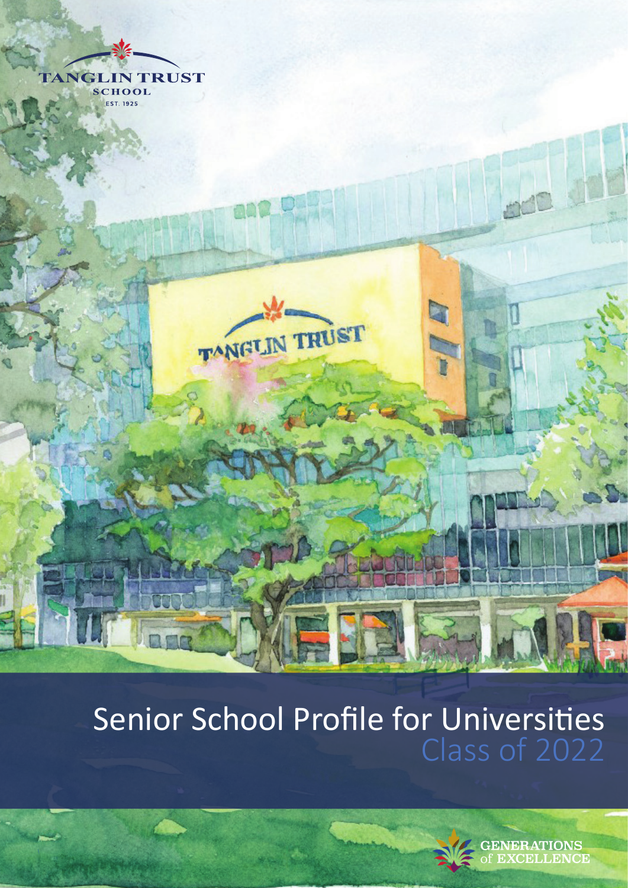

## Senior School Profile for Universities Class of 2022



**GENERATIONS CELLENCE**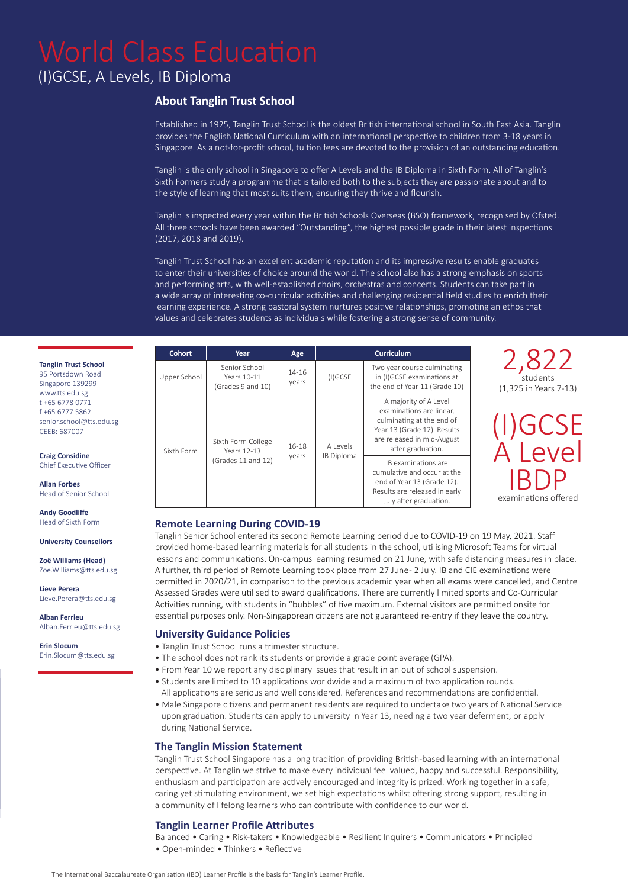### (I)GCSE, A Levels, IB Diploma

#### **About Tanglin Trust School**

Established in 1925, Tanglin Trust School is the oldest British international school in South East Asia. Tanglin provides the English National Curriculum with an international perspective to children from 3-18 years in Singapore. As a not-for-profit school, tuition fees are devoted to the provision of an outstanding education.

Tanglin is the only school in Singapore to offer A Levels and the IB Diploma in Sixth Form. All of Tanglin's Sixth Formers study a programme that is tailored both to the subjects they are passionate about and to the style of learning that most suits them, ensuring they thrive and flourish.

Tanglin is inspected every year within the British Schools Overseas (BSO) framework, recognised by Ofsted. All three schools have been awarded "Outstanding", the highest possible grade in their latest inspections (2017, 2018 and 2019).

Tanglin Trust School has an excellent academic reputation and its impressive results enable graduates to enter their universities of choice around the world. The school also has a strong emphasis on sports and performing arts, with well-established choirs, orchestras and concerts. Students can take part in a wide array of interesting co-curricular activities and challenging residential field studies to enrich their learning experience. A strong pastoral system nurtures positive relationships, promoting an ethos that values and celebrates students as individuals while fostering a strong sense of community.

| <b>Cohort</b> | Year                                              | Age                |                        | <b>Curriculum</b>                                                                                                                                                |                                            |  |  |
|---------------|---------------------------------------------------|--------------------|------------------------|------------------------------------------------------------------------------------------------------------------------------------------------------------------|--------------------------------------------|--|--|
| Upper School  | Senior School<br>Years 10-11<br>(Grades 9 and 10) | $14 - 16$<br>years | $(I)$ GCSE             | Two year course culminating<br>in (I)GCSE examinations at<br>the end of Year 11 (Grade 10)                                                                       | 2,822<br>students<br>(1,325 in Years 7-13) |  |  |
| Sixth Form    | Sixth Form College<br>$16-18$<br>Years 12-13      |                    | A Levels<br>IB Diploma | A majority of A Level<br>examinations are linear,<br>culminating at the end of<br>Year 13 (Grade 12). Results<br>are released in mid-August<br>after graduation. | (I)GCSE<br>A Level                         |  |  |
|               | (Grades 11 and 12)                                | years              |                        | IB examinations are<br>cumulative and occur at the<br>end of Year 13 (Grade 12).<br>Results are released in early<br>July after graduation.                      | <b>IBDP</b><br>examinations offered        |  |  |

#### **Remote Learning During COVID-19**

Tanglin Senior School entered its second Remote Learning period due to COVID-19 on 19 May, 2021. Staff provided home-based learning materials for all students in the school, utilising Microsoft Teams for virtual lessons and communications. On-campus learning resumed on 21 June, with safe distancing measures in place. A further, third period of Remote Learning took place from 27 June - 2 July. IB and CIE examinations were permitted in 2020/21, in comparison to the previous academic year when all exams were cancelled, and Centre Assessed Grades were utilised to award qualifications. There are currently limited sports and Co-Curricular Activities running, with students in "bubbles" of five maximum. External visitors are permitted onsite for essential purposes only. Non-Singaporean citizens are not guaranteed re-entry if they leave the country.

#### **University Guidance Policies**

- Tanglin Trust School runs a trimester structure.
- The school does not rank its students or provide a grade point average (GPA).
- From Year 10 we report any disciplinary issues that result in an out of school suspension.
- Students are limited to 10 applications worldwide and a maximum of two application rounds. All applications are serious and well considered. References and recommendations are confidential.
- Male Singapore citizens and permanent residents are required to undertake two years of National Service upon graduation. Students can apply to university in Year 13, needing a two year deferment, or apply during National Service.

#### **The Tanglin Mission Statement**

Tanglin Trust School Singapore has a long tradition of providing British-based learning with an international perspective. At Tanglin we strive to make every individual feel valued, happy and successful. Responsibility, enthusiasm and participation are actively encouraged and integrity is prized. Working together in a safe, caring yet stimulating environment, we set high expectations whilst offering strong support, resulting in a community of lifelong learners who can contribute with confidence to our world.

#### **Tanglin Learner Profile Attributes**

Balanced • Caring • Risk-takers • Knowledgeable • Resilient Inquirers • Communicators • Principled • Open-minded • Thinkers • Reflective

#### **Tanglin Trust School**

95 Portsdown Road Singapore 139299 www.tts.edu.sg t +65 6778 0771 f +65 6777 5862 senior.school@tts.edu.sg CEEB: 687007

#### **Craig Considine**

Chief Executive Officer

**Allan Forbes** Head of Senior School

#### **Andy Goodliffe**  Head of Sixth Form

**University Counsellors**

**Zoë Williams (Head)**  Zoe.Williams@tts.edu.sg

**Lieve Perera** Lieve.Perera@tts.edu.sg

**Alban Ferrieu** Alban.Ferrieu@tts.edu.sg

**Erin Slocum** Erin.Slocum@tts.edu.sg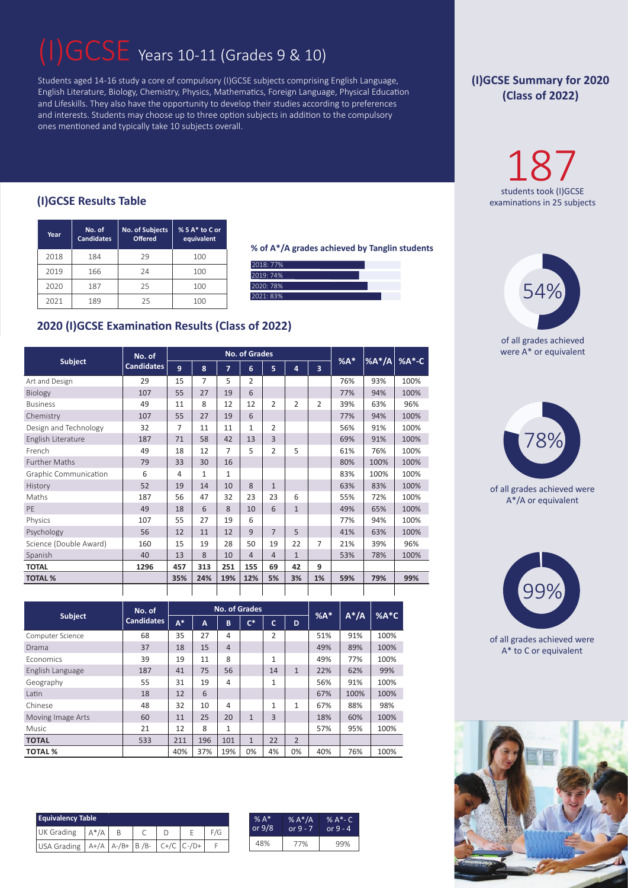## GCSE Years 10-11 (Grades 9 & 10)

Students aged 14-16 study a core of compulsory (I)GCSE subjects comprising English Language, English Literature, Biology, Chemistry, Physics, Mathematics, Foreign Language, Physical Education and Lifeskills. They also have the opportunity to develop their studies according to preferences and interests. Students may choose up to three option subjects in addition to the compulsory ones mentioned and typically take 10 subjects overall.

#### **(I)GCSE Results Table** examinations in 25 subjects

| Year | No. of<br><b>Candidates</b> | <b>No. of Subjects</b><br><b>Offered</b> |     |  |  |
|------|-----------------------------|------------------------------------------|-----|--|--|
| 2018 | 184                         | 29                                       | 100 |  |  |
| 2019 | 166                         | 24                                       | 100 |  |  |
| 2020 | 187                         | 25                                       | 100 |  |  |
| 2021 | 189                         | 25                                       | 100 |  |  |

**% of A\*/A grades achieved by Tanglin students**

| 2018: 77% |  |  |
|-----------|--|--|
| 2019: 74% |  |  |
| 2020: 78% |  |  |
| 2021: 83% |  |  |

### **2020 (I)GCSE Examination Results (Class of 2022)**

|                        | No. of            |                |     | <b>No. of Grades</b> |                |                |                |                         |       |          |       |
|------------------------|-------------------|----------------|-----|----------------------|----------------|----------------|----------------|-------------------------|-------|----------|-------|
| <b>Subject</b>         | <b>Candidates</b> | $\overline{9}$ | 8   | $\overline{7}$       | 6              | 5              | $\overline{a}$ | $\overline{\mathbf{3}}$ | $%A*$ | $%A^*/A$ | %A*-C |
| Art and Design         | 29                | 15             | 7   | 5                    | $\overline{2}$ |                |                |                         | 76%   | 93%      | 100%  |
| Biology                | 107               | 55             | 27  | 19                   | 6              |                |                |                         | 77%   | 94%      | 100%  |
| <b>Business</b>        | 49                | 11             | 8   | 12                   | 12             | $\overline{2}$ | $\overline{2}$ | $\overline{2}$          | 39%   | 63%      | 96%   |
| Chemistry              | 107               | 55             | 27  | 19                   | 6              |                |                |                         | 77%   | 94%      | 100%  |
| Design and Technology  | 32                | 7              | 11  | 11                   | 1              | $\overline{2}$ |                |                         | 56%   | 91%      | 100%  |
| English Literature     | 187               | 71             | 58  | 42                   | 13             | $\overline{3}$ |                |                         | 69%   | 91%      | 100%  |
| French                 | 49                | 18             | 12  | 7                    | 5              | $\overline{2}$ | 5              |                         | 61%   | 76%      | 100%  |
| <b>Further Maths</b>   | 79                | 33             | 30  | 16                   |                |                |                |                         | 80%   | 100%     | 100%  |
| Graphic Communication  | 6                 | 4              | 1   | $\mathbf{1}$         |                |                |                |                         | 83%   | 100%     | 100%  |
| History                | 52                | 19             | 14  | 10                   | 8              | $\mathbf{1}$   |                |                         | 63%   | 83%      | 100%  |
| Maths                  | 187               | 56             | 47  | 32                   | 23             | 23             | 6              |                         | 55%   | 72%      | 100%  |
| PE                     | 49                | 18             | 6   | 8                    | 10             | 6              | $\mathbf{1}$   |                         | 49%   | 65%      | 100%  |
| Physics                | 107               | 55             | 27  | 19                   | 6              |                |                |                         | 77%   | 94%      | 100%  |
| Psychology             | 56                | 12             | 11  | 12                   | $\mathbf{q}$   | $\overline{7}$ | 5              |                         | 41%   | 63%      | 100%  |
| Science (Double Award) | 160               | 15             | 19  | 28                   | 50             | 19             | 22             | $\overline{7}$          | 21%   | 39%      | 96%   |
| Spanish                | 40                | 13             | 8   | 10                   | $\overline{4}$ | $\overline{4}$ | $\mathbf{1}$   |                         | 53%   | 78%      | 100%  |
| <b>TOTAL</b>           | 1296              | 457            | 313 | 251                  | 155            | 69             | 42             | 9                       |       |          |       |
| <b>TOTAL %</b>         |                   | 35%            | 24% | 19%                  | 12%            | 5%             | 3%             | 1%                      | 59%   | 79%      | 99%   |
|                        |                   |                |     |                      |                |                |                |                         |       |          |       |

|                   | No. of     |       |     | <b>No. of Grades</b> | $%A*$                     |    | $%A*C$         |     |         |      |
|-------------------|------------|-------|-----|----------------------|---------------------------|----|----------------|-----|---------|------|
| <b>Subject</b>    | Candidates | $A^*$ | A   | B                    | $\overline{\mathsf{C}^*}$ | Ċ  | D              |     | $A^*/A$ |      |
| Computer Science  | 68         | 35    | 27  | 4                    |                           | 2  |                | 51% | 91%     | 100% |
| Drama             | 37         | 18    | 15  | $\overline{4}$       |                           |    |                | 49% | 89%     | 100% |
| <b>Economics</b>  | 39         | 19    | 11  | 8                    |                           | 1  |                | 49% | 77%     | 100% |
| English Language  | 187        | 41    | 75  | 56                   |                           | 14 | $\mathbf{1}$   | 22% | 62%     | 99%  |
| Geography         | 55         | 31    | 19  | 4                    |                           | 1  |                | 56% | 91%     | 100% |
| Latin             | 18         | 12    | 6   |                      |                           |    |                | 67% | 100%    | 100% |
| Chinese           | 48         | 32    | 10  | 4                    |                           | 1  | 1              | 67% | 88%     | 98%  |
| Moving Image Arts | 60         | 11    | 25  | 20                   | $\mathbf{1}$              | 3  |                | 18% | 60%     | 100% |
| Music             | 21         | 12    | 8   | $\mathbf{1}$         |                           |    |                | 57% | 95%     | 100% |
| <b>TOTAL</b>      | 533        | 211   | 196 | 101                  | $\mathbf{1}$              | 22 | $\overline{2}$ |     |         |      |
| <b>TOTAL %</b>    |            | 40%   | 37% | 19%                  | 0%                        | 4% | 0%             | 40% | 76%     | 100% |

| <b>Equivalency Table</b>                          |         |  |  |  |  |     |  |  |
|---------------------------------------------------|---------|--|--|--|--|-----|--|--|
| UK Grading                                        | $A^*/A$ |  |  |  |  | F/G |  |  |
| USA Grading   A+/A   A-/B+   B /B-   C+/C   C-/D+ |         |  |  |  |  |     |  |  |

| $% A*$   | % $A^*/A$  | % A*- C    |
|----------|------------|------------|
| or $9/8$ | or $9 - 7$ | or $9 - 4$ |
| 48%      | 77%        |            |

### **(I)GCSE Summary for 2020 (Class of 2022)**

 $187$ <br>students took (I)GCSE



of all grades achieved were A\* or equivalent



of all grades achieved were A\*/A or equivalent



of all grades achieved were A\* to C or equivalent

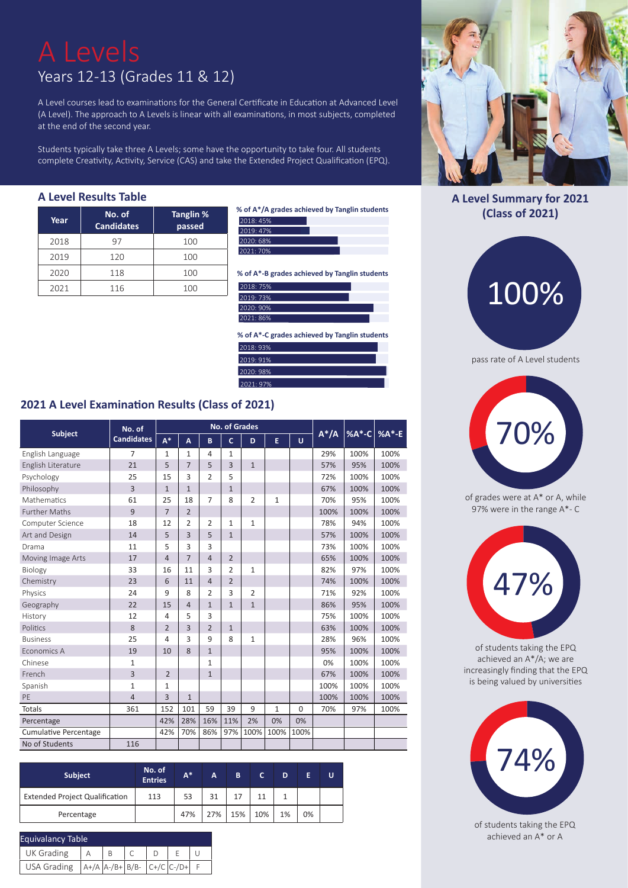# Years 12-13 (Grades 11 & 12)

A Level courses lead to examinations for the General Certificate in Education at Advanced Level (A Level). The approach to A Levels is linear with all examinations, in most subjects, completed at the end of the second year.

Students typically take three A Levels; some have the opportunity to take four. All students complete Creativity, Activity, Service (CAS) and take the Extended Project Qualification (EPQ).

#### **A Level Results Table**

| Year | No. of<br><b>Candidates</b> | Tanglin %<br>passed |
|------|-----------------------------|---------------------|
| 2018 | 97                          | 100                 |
| 2019 | 120                         | 100                 |
| 2020 | 118                         | 100                 |
| 2021 | 116                         | 100                 |

**% of A\*/A grades achieved by Tanglin students** 2018: 45%



**% of A\*-B grades achieved by Tanglin students**

| 2018: 75% |  |
|-----------|--|
| 2019: 73% |  |
| 2020: 90% |  |
| 2021:86%  |  |

**% of A\*-C grades achieved by Tanglin students** 2018: 93% 2019: 91% 2020: 98% 2021: 97%

#### **2021 A Level Examination Results (Class of 2021)**

|                              | No. of            |                |                |                | <b>No. of Grades</b> | $A^*/A$        | %A*-C        | $%A*-E$  |      |      |      |
|------------------------------|-------------------|----------------|----------------|----------------|----------------------|----------------|--------------|----------|------|------|------|
| <b>Subject</b>               | <b>Candidates</b> | $A^*$          | A              | B              | $\mathsf{C}$         | D              | E            | Ü        |      |      |      |
| English Language             | $\overline{7}$    | $\mathbf{1}$   | 1              | $\overline{4}$ | $\mathbf{1}$         |                |              |          | 29%  | 100% | 100% |
| English Literature           | 21                | 5              | $\overline{7}$ | 5              | 3                    | $\mathbf{1}$   |              |          | 57%  | 95%  | 100% |
| Psychology                   | 25                | 15             | 3              | $\overline{2}$ | 5                    |                |              |          | 72%  | 100% | 100% |
| Philosophy                   | $\overline{3}$    | $\mathbf{1}$   | $\mathbf{1}$   |                | $\mathbf{1}$         |                |              |          | 67%  | 100% | 100% |
| Mathematics                  | 61                | 25             | 18             | $\overline{7}$ | 8                    | $\overline{2}$ | $\mathbf{1}$ |          | 70%  | 95%  | 100% |
| <b>Further Maths</b>         | 9                 | $\overline{7}$ | $\overline{2}$ |                |                      |                |              |          | 100% | 100% | 100% |
| Computer Science             | 18                | 12             | 2              | $\overline{2}$ | $\mathbf{1}$         | $\mathbf{1}$   |              |          | 78%  | 94%  | 100% |
| Art and Design               | 14                | 5              | 3              | 5              | $\mathbf{1}$         |                |              |          | 57%  | 100% | 100% |
| Drama                        | 11                | 5              | 3              | 3              |                      |                |              |          | 73%  | 100% | 100% |
| Moving Image Arts            | 17                | $\overline{4}$ | $\overline{7}$ | $\overline{4}$ | $\overline{2}$       |                |              |          | 65%  | 100% | 100% |
| Biology                      | 33                | 16             | 11             | 3              | $\overline{2}$       | $\mathbf{1}$   |              |          | 82%  | 97%  | 100% |
| Chemistry                    | 23                | 6              | 11             | $\overline{4}$ | $\overline{2}$       |                |              |          | 74%  | 100% | 100% |
| Physics                      | 24                | 9              | 8              | $\overline{2}$ | 3                    | $\overline{2}$ |              |          | 71%  | 92%  | 100% |
| Geography                    | 22                | 15             | 4              | $\mathbf{1}$   | $\mathbf{1}$         | $\mathbf{1}$   |              |          | 86%  | 95%  | 100% |
| History                      | 12                | 4              | 5              | 3              |                      |                |              |          | 75%  | 100% | 100% |
| Politics                     | 8                 | $\overline{2}$ | 3              | $\overline{2}$ | $\mathbf{1}$         |                |              |          | 63%  | 100% | 100% |
| <b>Business</b>              | 25                | 4              | 3              | 9              | 8                    | $\mathbf{1}$   |              |          | 28%  | 96%  | 100% |
| Economics A                  | 19                | 10             | 8              | $\mathbf{1}$   |                      |                |              |          | 95%  | 100% | 100% |
| Chinese                      | 1                 |                |                | $\mathbf{1}$   |                      |                |              |          | 0%   | 100% | 100% |
| French                       | 3                 | $\overline{2}$ |                | $\mathbf{1}$   |                      |                |              |          | 67%  | 100% | 100% |
| Spanish                      | $\mathbf{1}$      | 1              |                |                |                      |                |              |          | 100% | 100% | 100% |
| PE                           | 4                 | 3              | $\mathbf{1}$   |                |                      |                |              |          | 100% | 100% | 100% |
| <b>Totals</b>                | 361               | 152            | 101            | 59             | 39                   | 9              | $\mathbf{1}$ | $\Omega$ | 70%  | 97%  | 100% |
| Percentage                   |                   | 42%            | 28%            | 16%            | 11%                  | 2%             | 0%           | 0%       |      |      |      |
| <b>Cumulative Percentage</b> |                   | 42%            | 70%            | 86%            | 97%                  | 100%           | 100%         | 100%     |      |      |      |
| No of Students               | 116               |                |                |                |                      |                |              |          |      |      |      |

| <b>Subject</b>                        | No. of<br><b>Entries</b> | $A^*$ | A.  | B   | c   | D  |    | U |
|---------------------------------------|--------------------------|-------|-----|-----|-----|----|----|---|
| <b>Extended Project Qualification</b> | 113                      | 53    | 31  |     |     |    |    |   |
| Percentage                            |                          | 47%   | 27% | 15% | 10% | 1% | 0% |   |

| Equivalancy Table                          |  |  |  |  |  |  |  |  |  |  |
|--------------------------------------------|--|--|--|--|--|--|--|--|--|--|
| <b>UK Grading</b>                          |  |  |  |  |  |  |  |  |  |  |
| USA Grading $ A+/A A-/B+ B/B- C+/C C-/D+ $ |  |  |  |  |  |  |  |  |  |  |



### **A Level Summary for 2021 (Class of 2021)**





of grades were at A\* or A, while 97% were in the range A\*- C



of students taking the EPQ achieved an A\*/A; we are increasingly finding that the EPQ is being valued by universities



of students taking the EPQ achieved an A\* or A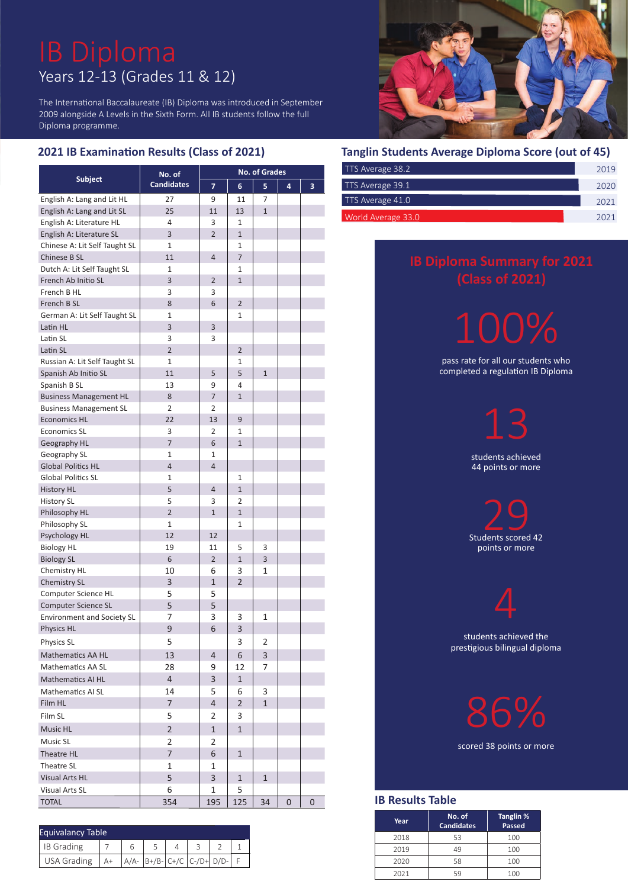# Years 12-13 (Grades 11 & 12)

The International Baccalaureate (IB) Diploma was introduced in September 2009 alongside A Levels in the Sixth Form. All IB students follow the full Diploma programme.

### **2021 IB Examination Results (Class of 2021)**

|                                   | No. of            |                | <b>No. of Grades</b>    |              |   |   |
|-----------------------------------|-------------------|----------------|-------------------------|--------------|---|---|
| <b>Subject</b>                    | <b>Candidates</b> | $\overline{ }$ | 6                       | 5            | 4 | 3 |
| English A: Lang and Lit HL        | 27                | 9              | 11                      | 7            |   |   |
| English A: Lang and Lit SL        | 25                | 11             | 13                      | $\mathbf{1}$ |   |   |
| English A: Literature HL          | 4                 | 3              | $\mathbf{1}$            |              |   |   |
| English A: Literature SL          | 3                 | $\overline{2}$ | $\mathbf{1}$            |              |   |   |
| Chinese A: Lit Self Taught SL     | $\mathbf{1}$      |                | 1                       |              |   |   |
| Chinese B SL                      | 11                | $\overline{4}$ | $\overline{7}$          |              |   |   |
| Dutch A: Lit Self Taught SL       | $\mathbf{1}$      |                | 1                       |              |   |   |
| French Ab Initio SL               | 3                 | $\overline{2}$ | $\mathbf{1}$            |              |   |   |
| French B HL                       | 3                 | 3              |                         |              |   |   |
| French B SL                       | 8                 | 6              | $\overline{2}$          |              |   |   |
| German A: Lit Self Taught SL      | $\mathbf{1}$      |                | $\mathbf{1}$            |              |   |   |
| Latin HL                          | 3                 | 3              |                         |              |   |   |
| Latin SL                          | 3                 | 3              |                         |              |   |   |
| Latin SL                          | $\overline{2}$    |                | $\overline{2}$          |              |   |   |
| Russian A: Lit Self Taught SL     | 1                 |                | 1                       |              |   |   |
| Spanish Ab Initio SL              | 11                | 5              | 5                       | $\mathbf{1}$ |   |   |
| Spanish B SL                      | 13                | 9              | 4                       |              |   |   |
| <b>Business Management HL</b>     | 8                 | $\overline{7}$ | $\mathbf{1}$            |              |   |   |
| <b>Business Management SL</b>     | $\overline{2}$    | 2              |                         |              |   |   |
| <b>Economics HL</b>               | 22                | 13             | 9                       |              |   |   |
| <b>Economics SL</b>               | 3                 | 2              | 1                       |              |   |   |
| Geography HL                      | $\overline{7}$    | 6              | $\mathbf{1}$            |              |   |   |
| Geography SL                      | $\mathbf{1}$      | $\mathbf{1}$   |                         |              |   |   |
| <b>Global Politics HL</b>         | $\overline{4}$    | $\overline{4}$ |                         |              |   |   |
| <b>Global Politics SL</b>         | $\mathbf{1}$      |                | 1                       |              |   |   |
| <b>History HL</b>                 | 5                 | $\overline{4}$ | $\mathbf{1}$            |              |   |   |
| <b>History SL</b>                 | 5                 | 3              | 2                       |              |   |   |
| Philosophy HL                     | $\overline{2}$    | $\mathbf{1}$   | $\mathbf{1}$            |              |   |   |
| Philosophy SL                     | $\mathbf{1}$      |                | $\mathbf{1}$            |              |   |   |
| Psychology HL                     | 12                | 12             |                         |              |   |   |
| <b>Biology HL</b>                 | 19                | 11             | 5                       | 3            |   |   |
| <b>Biology SL</b>                 | 6                 | $\overline{2}$ | $\mathbf{1}$            | 3            |   |   |
| <b>Chemistry HL</b>               | 10                | 6              | 3                       | 1            |   |   |
| Chemistry SL                      | 3                 | $\mathbf{1}$   | $\overline{2}$          |              |   |   |
| Computer Science HL               | 5                 | 5              |                         |              |   |   |
| <b>Computer Science SL</b>        | 5                 | 5              |                         |              |   |   |
| <b>Environment and Society SL</b> | 7                 | 3              | 3                       | 1            |   |   |
| <b>Physics HL</b>                 | 9                 | 6              | $\overline{\mathbf{3}}$ |              |   |   |
| Physics SL                        | 5                 |                | 3                       | 2            |   |   |
| Mathematics AA HL                 | 13                | $\overline{4}$ | 6                       | 3            |   |   |
| <b>Mathematics AA SL</b>          | 28                | 9              | 12                      | 7            |   |   |
| Mathematics AI HL                 | $\overline{4}$    | 3              | $\mathbf{1}$            |              |   |   |
| Mathematics AI SL                 | 14                | 5              | 6                       | 3            |   |   |
| Film HL                           | $\overline{7}$    | $\overline{4}$ | $\overline{2}$          | $\mathbf{1}$ |   |   |
| Film SL                           | 5                 | 2              | 3                       |              |   |   |
| Music HL                          | $\overline{2}$    | 1              | $\mathbf{1}$            |              |   |   |
|                                   |                   |                |                         |              |   |   |
| Music SL                          | 2                 | 2              |                         |              |   |   |
| Theatre HL                        | $\overline{7}$    | 6              | $\mathbf{1}$            |              |   |   |
| Theatre SL                        | 1                 | 1              |                         |              |   |   |
| Visual Arts HL                    | 5                 | 3              | $\mathbf{1}$            | 1            |   |   |
| Visual Arts SL                    | 6                 | 1              | 5                       |              |   |   |
| <b>TOTAL</b>                      | 354               | 195            | 125                     | 34           | 0 | 0 |

| <b>Equivalancy Table</b> |    |  |                              |  |  |  |  |
|--------------------------|----|--|------------------------------|--|--|--|--|
| IB Grading               |    |  |                              |  |  |  |  |
| USA Grading              | A+ |  | $A/A - B+/B$ -C+/C C-/D+D/D- |  |  |  |  |



#### **Tanglin Students Average Diploma Score (out of 45)**

| TTS Average 38.2   | 2019 |
|--------------------|------|
| TTS Average 39.1   | 2020 |
| TTS Average 41.0   | 2021 |
| World Average 33.0 | 2021 |

## **(Class of 2021)**

100%

pass rate for all our students who completed a regulation IB Diploma

students achieved

44 points or more

 $\sum_{\text{Students scored }42}$ points or more

students achieved the prestigious bilingual diploma

4

86%

scored 38 points or more

#### **IB Results Table**

| Year | No. of<br><b>Candidates</b> | Tanglin %<br>Passed |  |  |  |
|------|-----------------------------|---------------------|--|--|--|
| 2018 | 53                          | 100                 |  |  |  |
| 2019 | 49                          | 100                 |  |  |  |
| 2020 | 58                          | 100                 |  |  |  |
| 2021 | 59                          | 100                 |  |  |  |